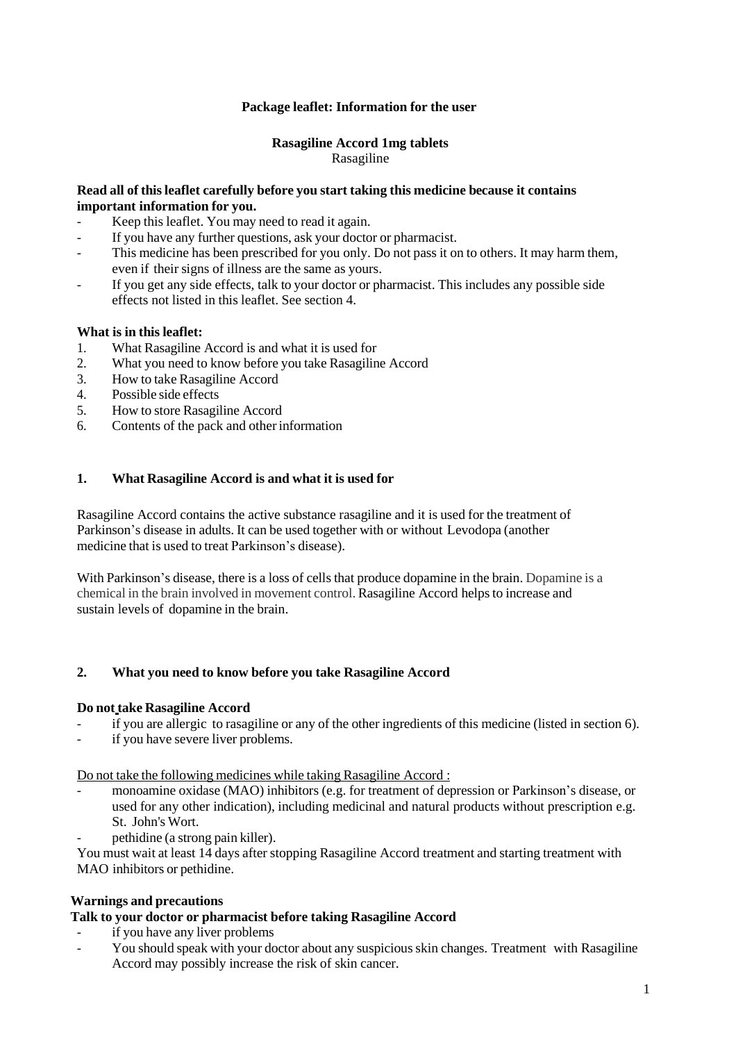# **Package leaflet: Information for the user**

## **Rasagiline Accord 1mg tablets** Rasagiline

## **Read all of thisleaflet carefully before you start taking this medicine because it contains important information for you.**

- Keep this leaflet. You may need to read it again.
- If you have any further questions, ask your doctor or pharmacist.
- This medicine has been prescribed for you only. Do not pass it on to others. It may harm them, even if their signs of illness are the same as yours.
- If you get any side effects, talk to your doctor or pharmacist. This includes any possible side effects not listed in this leaflet. See section 4.

## **What is in this leaflet:**

- 1. What Rasagiline Accord is and what it is used for<br>2. What you need to know before you take Rasagiling
- 2. What you need to know before you take Rasagiline Accord<br>3. How to take Rasagiline Accord
- 3. How to take Rasagiline Accord<br>4 Possible side effects
- Possible side effects
- 5. How to store Rasagiline Accord
- 6. Contents of the pack and otherinformation

# **1. What Rasagiline Accord is and what it is used for**

Rasagiline Accord contains the active substance rasagiline and it is used for the treatment of Parkinson's disease in adults. It can be used together with or without Levodopa (another medicine that is used to treat Parkinson's disease).

With Parkinson's disease, there is a loss of cells that produce dopamine in the brain. Dopamine is a chemical in the brain involved in movement control. Rasagiline Accord helpsto increase and sustain levels of dopamine in the brain.

## **2. What you need to know before you take Rasagiline Accord**

## **Do not take Rasagiline Accord**

- if you are allergic to rasagiline or any of the other ingredients of this medicine (listed in section 6).
- if you have severe liver problems.

Do not take the following medicines while taking Rasagiline Accord :

- monoamine oxidase (MAO) inhibitors (e.g. for treatment of depression or Parkinson's disease, or used for any other indication), including medicinal and natural products without prescription e.g. St. John's Wort.
- pethidine (a strong pain killer).

You must wait at least 14 days after stopping Rasagiline Accord treatment and starting treatment with MAO inhibitors or pethidine.

## **Warnings and precautions**

## **Talk to your doctor or pharmacist before taking Rasagiline Accord**

- if you have any liver problems
- You should speak with your doctor about any suspicious skin changes. Treatment with Rasagiline Accord may possibly increase the risk of skin cancer.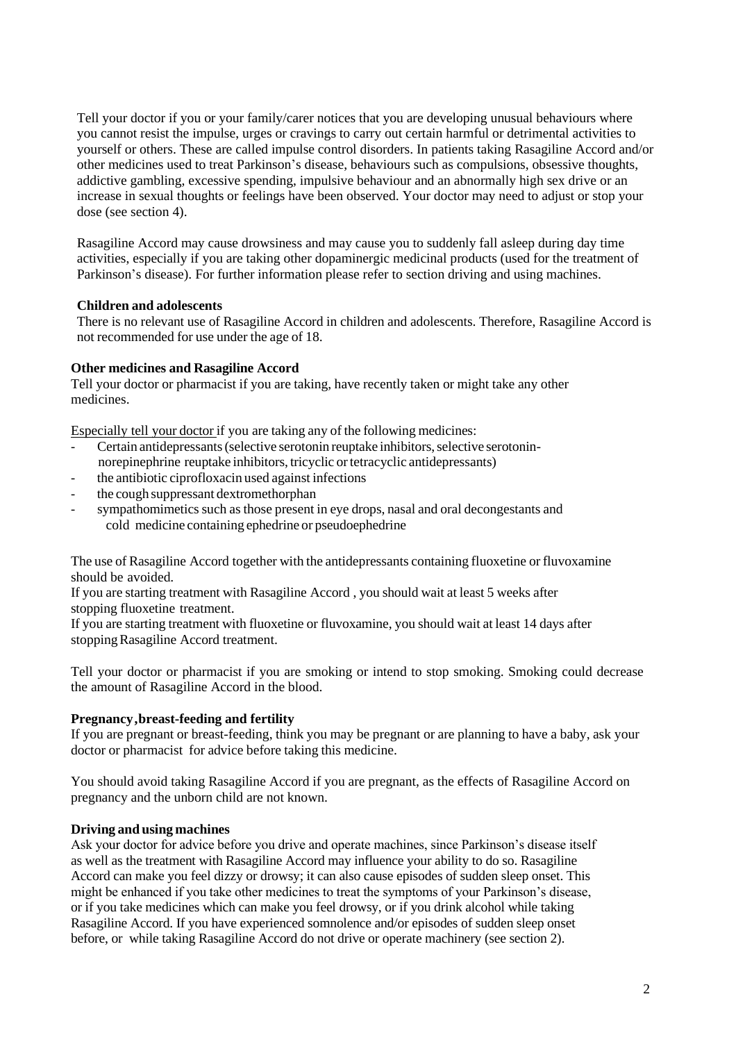Tell your doctor if you or your family/carer notices that you are developing unusual behaviours where you cannot resist the impulse, urges or cravings to carry out certain harmful or detrimental activities to yourself or others. These are called impulse control disorders. In patients taking Rasagiline Accord and/or other medicines used to treat Parkinson's disease, behaviours such as compulsions, obsessive thoughts, addictive gambling, excessive spending, impulsive behaviour and an abnormally high sex drive or an increase in sexual thoughts or feelings have been observed. Your doctor may need to adjust or stop your dose (see section 4).

Rasagiline Accord may cause drowsiness and may cause you to suddenly fall asleep during day time activities, especially if you are taking other dopaminergic medicinal products (used for the treatment of Parkinson's disease). For further information please refer to section driving and using machines.

# **Children and adolescents**

There is no relevant use of Rasagiline Accord in children and adolescents. Therefore, Rasagiline Accord is not recommended for use under the age of 18.

# **Other medicines and Rasagiline Accord**

Tell your doctor or pharmacist if you are taking, have recently taken or might take any other medicines.

Especially tell your doctor if you are taking any of the following medicines:

- Certain antidepressants (selective serotonin reuptake inhibitors, selective serotoninnorepinephrine reuptake inhibitors, tricyclic ortetracyclic antidepressants)
- the antibiotic ciprofloxacin used against infections
- the cough suppressant dextromethorphan
- sympathomimetics such as those present in eye drops, nasal and oral decongestants and cold medicine containing ephedrine or pseudoephedrine

The use of Rasagiline Accord together with the antidepressants containing fluoxetine or fluvoxamine should be avoided.

If you are starting treatment with Rasagiline Accord , you should wait at least 5 weeks after stopping fluoxetine treatment.

If you are starting treatment with fluoxetine or fluvoxamine, you should wait at least 14 days after stoppingRasagiline Accord treatment.

Tell your doctor or pharmacist if you are smoking or intend to stop smoking. Smoking could decrease the amount of Rasagiline Accord in the blood.

# **Pregnancy,breast-feeding and fertility**

If you are pregnant or breast-feeding, think you may be pregnant or are planning to have a baby, ask your doctor or pharmacist for advice before taking this medicine.

You should avoid taking Rasagiline Accord if you are pregnant, as the effects of Rasagiline Accord on pregnancy and the unborn child are not known.

## **Driving and using machines**

Ask your doctor for advice before you drive and operate machines, since Parkinson's disease itself as well as the treatment with Rasagiline Accord may influence your ability to do so. Rasagiline Accord can make you feel dizzy or drowsy; it can also cause episodes of sudden sleep onset. This might be enhanced if you take other medicines to treat the symptoms of your Parkinson's disease, or if you take medicines which can make you feel drowsy, or if you drink alcohol while taking Rasagiline Accord. If you have experienced somnolence and/or episodes of sudden sleep onset before, or while taking Rasagiline Accord do not drive or operate machinery (see section 2).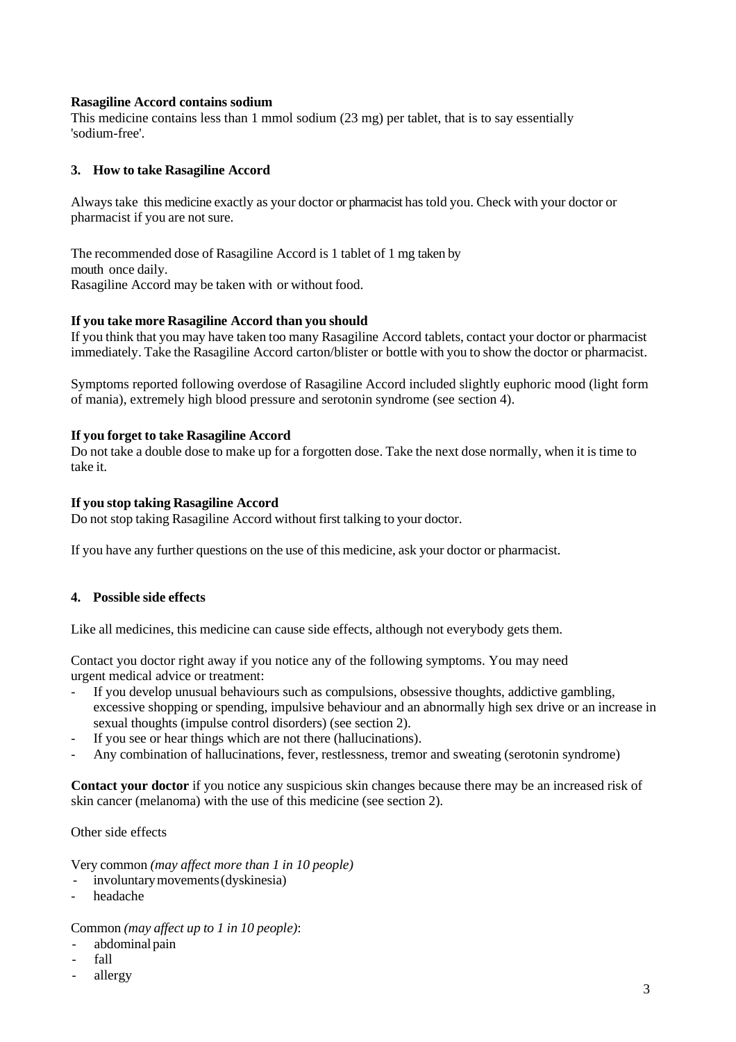## **Rasagiline Accord contains sodium**

This medicine contains less than 1 mmol sodium (23 mg) per tablet, that is to say essentially 'sodium-free'.

## **3. How to take Rasagiline Accord**

Always take this medicine exactly as your doctor or pharmacist has told you. Check with your doctor or pharmacist if you are not sure.

The recommended dose of Rasagiline Accord is 1 tablet of 1 mg taken by mouth once daily. Rasagiline Accord may be taken with or without food.

#### **If you take more Rasagiline Accord than you should**

If you think that you may have taken too many Rasagiline Accord tablets, contact your doctor or pharmacist immediately. Take the Rasagiline Accord carton/blister or bottle with you to show the doctor or pharmacist.

Symptoms reported following overdose of Rasagiline Accord included slightly euphoric mood (light form of mania), extremely high blood pressure and serotonin syndrome (see section 4).

#### **If you forget to take Rasagiline Accord**

Do not take a double dose to make up for a forgotten dose. Take the next dose normally, when it is time to take it.

#### **If you stop taking Rasagiline Accord**

Do not stop taking Rasagiline Accord without first talking to your doctor.

If you have any further questions on the use of this medicine, ask your doctor or pharmacist.

## **4. Possible side effects**

Like all medicines, this medicine can cause side effects, although not everybody gets them.

Contact you doctor right away if you notice any of the following symptoms. You may need urgent medical advice or treatment:

- If you develop unusual behaviours such as compulsions, obsessive thoughts, addictive gambling, excessive shopping or spending, impulsive behaviour and an abnormally high sex drive or an increase in sexual thoughts (impulse control disorders) (see section 2).
- If you see or hear things which are not there (hallucinations).
- Any combination of hallucinations, fever, restlessness, tremor and sweating (serotonin syndrome)

**Contact your doctor** if you notice any suspicious skin changes because there may be an increased risk of skin cancer (melanoma) with the use of this medicine (see section 2).

Other side effects

Very common *(may affect more than 1 in 10 people)*

- involuntary movements (dyskinesia)
- headache

# Common *(may affect up to 1 in 10 people)*:

- abdominal pain
- fall
- allergy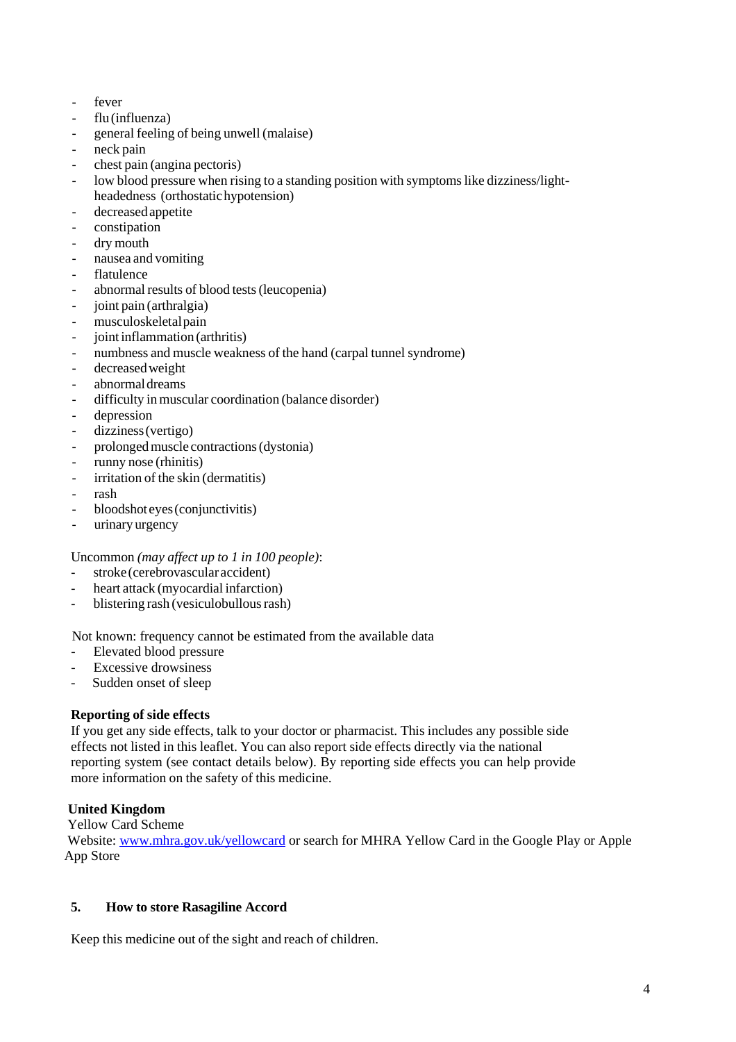- fever
- flu(influenza)
- general feeling of being unwell (malaise)
- neck pain
- chest pain (angina pectoris)
- low blood pressure when rising to a standing position with symptoms like dizziness/lightheadedness (orthostatichypotension)
- decreasedappetite
- constipation
- dry mouth
- nausea and vomiting
- flatulence
- abnormal results of blood tests (leucopenia)
- joint pain (arthralgia)
- musculoskeletalpain
- ioint inflammation (arthritis)
- numbness and muscle weakness of the hand (carpal tunnel syndrome)
- decreasedweight
- abnormal dreams
- difficulty in muscular coordination (balance disorder)
- depression
- dizziness(vertigo)
- prolonged muscle contractions (dystonia)
- runny nose (rhinitis)
- irritation of the skin (dermatitis)
- rash
- bloodshot eyes(conjunctivitis)
- urinary urgency

Uncommon *(may affect up to 1 in 100 people)*:

- stroke (cerebrovascular accident)
- heart attack (myocardial infarction)
- blistering rash (vesiculobullous rash)

Not known: frequency cannot be estimated from the available data

- Elevated blood pressure
- Excessive drowsiness
- Sudden onset of sleep

# **Reporting of side effects**

If you get any side effects, talk to your doctor or pharmacist. This includes any possible side effects not listed in this leaflet. You can also report side effects directly via the national reporting system (see contact details below). By reporting side effects you can help provide more information on the safety of this medicine.

# **United Kingdom**

Yellow Card Scheme

Website: [www.mhra.gov.uk/yellowcard](http://www.mhra.gov.uk/yellowcard) or search for MHRA Yellow Card in the Google Play or Apple App Store

# **5. How to store Rasagiline Accord**

Keep this medicine out of the sight and reach of children.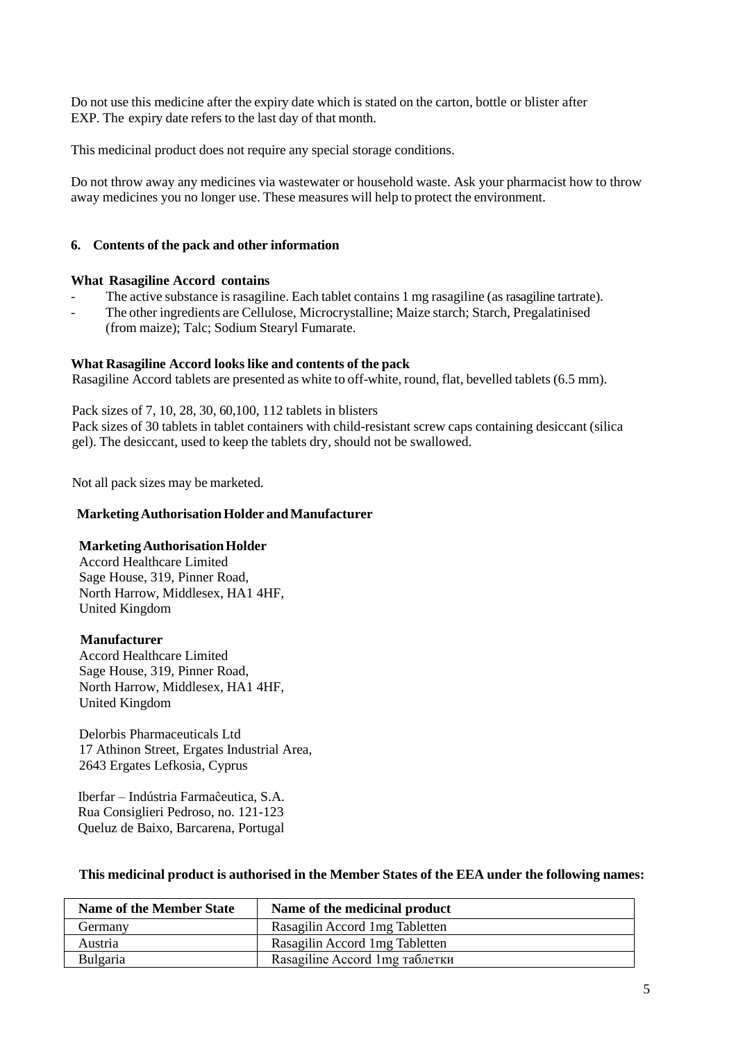Do not use this medicine after the expiry date which is stated on the carton, bottle or blister after EXP. The expiry date refers to the last day of that month.

This medicinal product does not require any special storage conditions.

Do not throw away any medicines via wastewater or household waste. Ask your pharmacist how to throw away medicines you no longer use. These measures will help to protect the environment.

# **6. Contents of the pack and other information**

## **What Rasagiline Accord contains**

- The active substance is rasagiline. Each tablet contains 1 mg rasagiline (as rasagiline tartrate).
- The other ingredients are Cellulose, Microcrystalline; Maize starch; Starch, Pregalatinised (from maize); Talc; Sodium Stearyl Fumarate.

## **What Rasagiline Accord looks like and contents of the pack**

Rasagiline Accord tablets are presented as white to off-white, round, flat, bevelled tablets (6.5 mm).

Pack sizes of 7, 10, 28, 30, 60,100, 112 tablets in blisters

Pack sizes of 30 tablets in tablet containers with child-resistant screw caps containing desiccant (silica gel). The desiccant, used to keep the tablets dry, should not be swallowed.

Not all pack sizes may be marketed.

#### **MarketingAuthorisationHolder andManufacturer**

## **MarketingAuthorisationHolder**

Accord Healthcare Limited Sage House, 319, Pinner Road, North Harrow, Middlesex, HA1 4HF, United Kingdom

#### **Manufacturer**

Accord Healthcare Limited Sage House, 319, Pinner Road, North Harrow, Middlesex, HA1 4HF, United Kingdom

Delorbis Pharmaceuticals Ltd 17 Athinon Street, Ergates Industrial Area, 2643 Ergates Lefkosia, Cyprus

 Iberfar – Indústria Farmaĉeutica, S.A. Rua Consiglieri Pedroso, no. 121-123 Queluz de Baixo, Barcarena, Portugal

# **This medicinal product is authorised in the Member States of the EEA under the following names:**

| <b>Name of the Member State</b> | Name of the medicinal product   |
|---------------------------------|---------------------------------|
| Germany                         | Rasagilin Accord 1mg Tabletten  |
| Austria                         | Rasagilin Accord 1 mg Tabletten |
| <b>Bulgaria</b>                 | Rasagiline Accord 1 mg таблетки |